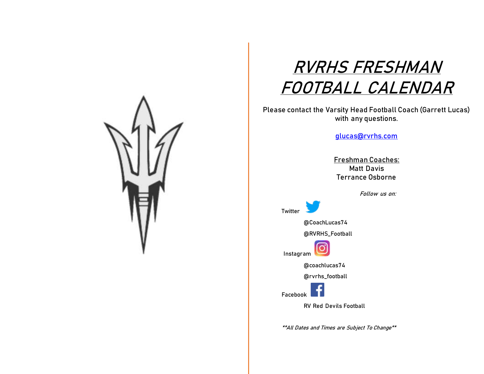



**Please contact the Varsity Head Football Coach (Garrett Lucas) with any questions.**

**[glucas@rvrhs.com](mailto:glucas@rvrhs.com)**

**Freshman Coaches: Matt Davis Terrance Osborne**

**Follow us on:**



**@CoachLucas74 @RVRHS\_Football**



**@coachlucas74**

**@rvrhs\_football**



**RV Red Devils Football**

**\*\*All Dates and Times are Subject To Change\*\***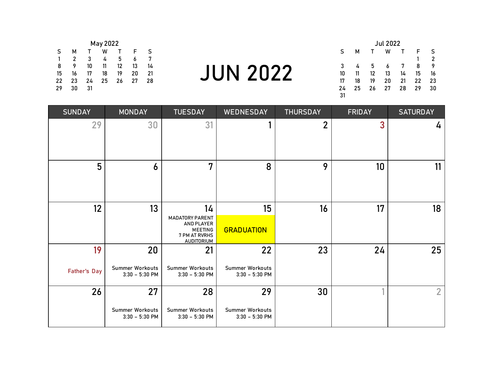| <b>May 2022</b> |    |    |    |    |    |    |  |  |  |  |
|-----------------|----|----|----|----|----|----|--|--|--|--|
| S               | м  |    | w  |    | F  | S  |  |  |  |  |
| 1               | 2  | 3  | 4  | 5  | 6  | 7  |  |  |  |  |
| 8               | 9  | 10 | 11 | 12 | 13 | 14 |  |  |  |  |
| 15              | 16 | 17 | 18 | 19 | 20 | 21 |  |  |  |  |
| 22              | 23 | 24 | 25 | 26 | 27 | 28 |  |  |  |  |
| 29              | 30 | 31 |    |    |    |    |  |  |  |  |

| <b>JUN 2022</b> |  |
|-----------------|--|
|                 |  |

|    |    |    | <b>Jul 2022</b> |              |    |    |
|----|----|----|-----------------|--------------|----|----|
| S  | м  |    | w               | $\mathsf{T}$ | F  | S  |
|    |    |    |                 |              |    | 2  |
| 3  | 4  | 5  | 6               | 7            | 8  | 9  |
| 10 | 11 | 12 | 13              | 14           | 15 | 16 |
| 17 | 18 | 19 | 20              | 21           | 22 | 23 |
| 24 | 25 | 26 | 27              | 28           | 29 | 30 |
| 31 |    |    |                 |              |    |    |

| <b>SUNDAY</b>             | <b>MONDAY</b>                             | <b>TUESDAY</b>                                                                                     | WEDNESDAY                                 | <b>THURSDAY</b> | <b>FRIDAY</b> | <b>SATURDAY</b> |
|---------------------------|-------------------------------------------|----------------------------------------------------------------------------------------------------|-------------------------------------------|-----------------|---------------|-----------------|
| 29                        | 30                                        | 31                                                                                                 |                                           | $\overline{2}$  | 3             | 4               |
| 5                         | 6                                         | 7                                                                                                  | 8                                         | 9               | 10            | 11              |
| 12                        | 13                                        | 14<br><b>MADATORY PARENT</b><br>AND PLAYER<br><b>MEETING</b><br>7 PM AT RVRHS<br><b>AUDITORIUM</b> | 15<br><b>GRADUATION</b>                   | 16              | 17            | 18              |
| 19<br><b>Father's Day</b> | 20<br>Summer Workouts<br>$3:30 - 5:30$ PM | 21<br><b>Summer Workouts</b><br>$3:30 - 5:30$ PM                                                   | 22<br>Summer Workouts<br>$3:30 - 5:30$ PM | 23              | 24            | 25              |
| 26                        | 27<br>Summer Workouts<br>$3:30 - 5:30$ PM | 28<br>Summer Workouts<br>$3:30 - 5:30$ PM                                                          | 29<br>Summer Workouts<br>$3:30 - 5:30$ PM | 30              |               | $\overline{2}$  |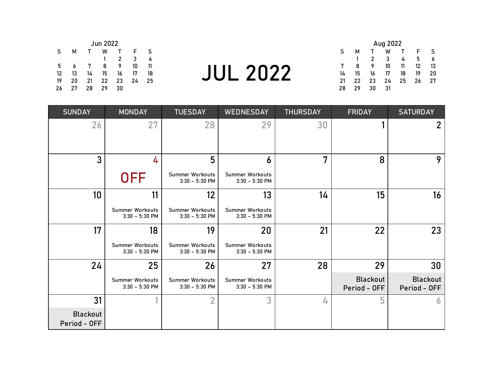| <b>Jun 2022</b> |       |     |    |      |                             |      |                 |    |    |                     | Aug 2022 |     |    |                             |
|-----------------|-------|-----|----|------|-----------------------------|------|-----------------|----|----|---------------------|----------|-----|----|-----------------------------|
|                 | S M   |     | W  |      |                             | S    |                 |    | м  |                     | W        |     |    | $\overline{\mathsf{S}}$     |
|                 |       |     |    |      | $1 \quad 2 \quad 3 \quad 4$ |      |                 |    |    | $1 \quad 2 \quad 3$ |          | 4   | 56 |                             |
|                 | 5 6   |     |    | 89   | 10                          |      |                 |    | -8 | -9                  | 10       | -11 | 12 | $\overline{\phantom{1}}$ 13 |
| 12              | 13    | 14  | 15 | 16   | 17                          | 18   | <b>JUL 2022</b> | 14 | 15 | 16                  | 17       | 18  | 19 | - 20                        |
| 19              | 20    | -21 | 22 | 23   | 24                          | - 25 |                 | 21 | 22 | 23                  | 24       | 25  | 26 | - 27                        |
|                 | 26 27 | 28  | 29 | - 30 |                             |      |                 | 28 | 29 | 30                  | - 31     |     |    |                             |

| <b>SUNDAY</b>            | <b>MONDAY</b>                              | <b>TUESDAY</b>                             | WEDNESDAY                                  | <b>THURSDAY</b> | <b>FRIDAY</b>                   | <b>SATURDAY</b>          |  |  |
|--------------------------|--------------------------------------------|--------------------------------------------|--------------------------------------------|-----------------|---------------------------------|--------------------------|--|--|
| 26                       | 27                                         | 28                                         | 29                                         | 30              |                                 | $\overline{2}$           |  |  |
|                          |                                            |                                            |                                            |                 |                                 |                          |  |  |
| $\mathbf{3}$             | 4                                          | 5                                          | Ô                                          | 7               | 8                               | 9                        |  |  |
|                          | <b>OFF</b>                                 | <b>Summer Workouts</b><br>$3:30 - 5:30$ PM | Summer Workouts<br>$3:30 - 5:30$ PM        |                 |                                 |                          |  |  |
| 10 <sup>1</sup>          | 11                                         | 12                                         | 13                                         | 14              | 15                              | 16                       |  |  |
|                          | Summer Workouts<br>$3:30 - 5:30$ PM        | <b>Summer Workouts</b><br>$3:30 - 5:30$ PM | Summer Workouts<br>$3:30 - 5:30$ PM        |                 |                                 |                          |  |  |
| 17                       | 18                                         | 19                                         | 20                                         | 21              | 22                              | 23                       |  |  |
|                          | <b>Summer Workouts</b><br>$3:30 - 5:30$ PM | <b>Summer Workouts</b><br>$3:30 - 5:30$ PM | <b>Summer Workouts</b><br>$3:30 - 5:30$ PM |                 |                                 |                          |  |  |
| 24                       | 25                                         | 26                                         | 27                                         | 28              | 29                              | 30                       |  |  |
|                          | <b>Summer Workouts</b><br>$3:30 - 5:30$ PM | <b>Summer Workouts</b><br>$3:30 - 5:30$ PM | <b>Summer Workouts</b><br>$3:30 - 5:30$ PM |                 | <b>Blackout</b><br>Period - OFF | Blackout<br>Period - OFF |  |  |
| 31                       |                                            | $\overline{2}$                             | 3                                          | 4               | 5                               | 6                        |  |  |
| Blackout<br>Period - OFF |                                            |                                            |                                            |                 |                                 |                          |  |  |